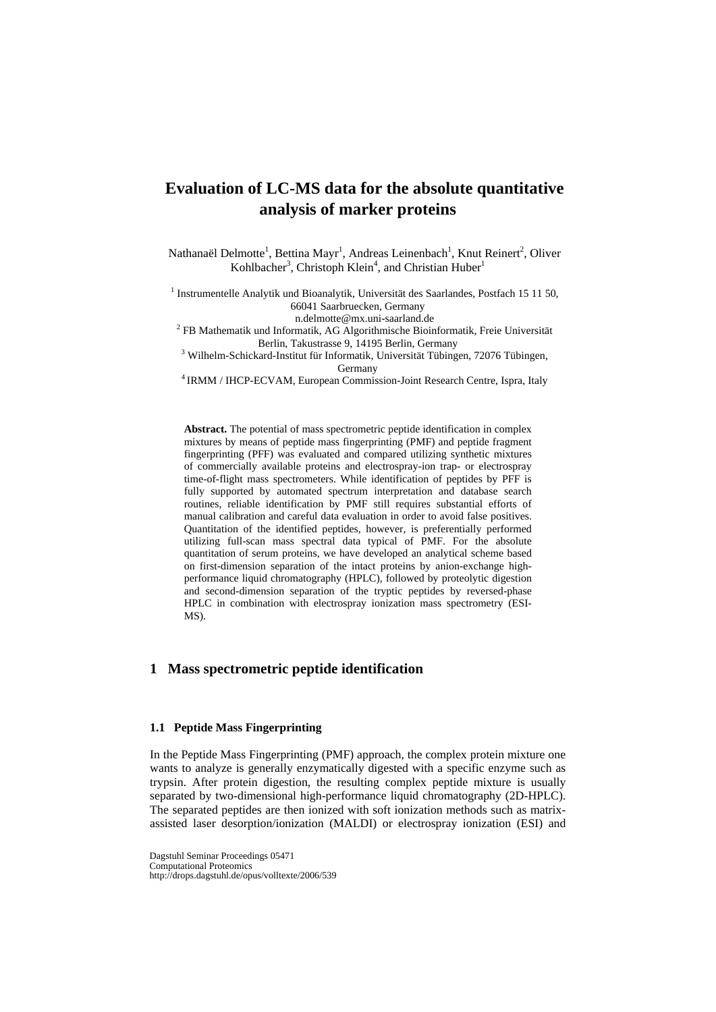# **Evaluation of LC-MS data for the absolute quantitative analysis of marker proteins**

Nathanaël Delmotte<sup>1</sup>, Bettina Mayr<sup>1</sup>, Andreas Leinenbach<sup>1</sup>, Knut Reinert<sup>2</sup>, Oliver Kohlbacher<sup>3</sup>, Christoph Klein<sup>4</sup>, and Christian Huber<sup>1</sup>

 $<sup>1</sup>$  Instrumentelle Analytik und Bioanalytik, Universität des Saarlandes, Postfach 15 11 50,</sup> 66041 Saarbruecken, Germany

n.delmotte@mx.uni-saarland.de 2 FB Mathematik und Informatik, AG Algorithmische Bioinformatik, Freie Universität Berlin, Takustrasse 9, 14195 Berlin, Germany<br><sup>3</sup> Wilhelm-Schickard-Institut für Informatik, Universität Tübingen, 72076 Tübingen,

Germany 4 IRMM / IHCP-ECVAM, European Commission-Joint Research Centre, Ispra, Italy

**Abstract.** The potential of mass spectrometric peptide identification in complex mixtures by means of peptide mass fingerprinting (PMF) and peptide fragment fingerprinting (PFF) was evaluated and compared utilizing synthetic mixtures of commercially available proteins and electrospray-ion trap- or electrospray time-of-flight mass spectrometers. While identification of peptides by PFF is fully supported by automated spectrum interpretation and database search routines, reliable identification by PMF still requires substantial efforts of manual calibration and careful data evaluation in order to avoid false positives. Quantitation of the identified peptides, however, is preferentially performed utilizing full-scan mass spectral data typical of PMF. For the absolute quantitation of serum proteins, we have developed an analytical scheme based on first-dimension separation of the intact proteins by anion-exchange highperformance liquid chromatography (HPLC), followed by proteolytic digestion and second-dimension separation of the tryptic peptides by reversed-phase HPLC in combination with electrospray ionization mass spectrometry (ESI-MS).

## **1 Mass spectrometric peptide identification**

#### **1.1 Peptide Mass Fingerprinting**

In the Peptide Mass Fingerprinting (PMF) approach, the complex protein mixture one wants to analyze is generally enzymatically digested with a specific enzyme such as trypsin. After protein digestion, the resulting complex peptide mixture is usually separated by two-dimensional high-performance liquid chromatography (2D-HPLC). The separated peptides are then ionized with soft ionization methods such as matrixassisted laser desorption/ionization (MALDI) or electrospray ionization (ESI) and

Dagstuhl Seminar Proceedings 05471 Computational Proteomics http://drops.dagstuhl.de/opus/volltexte/2006/539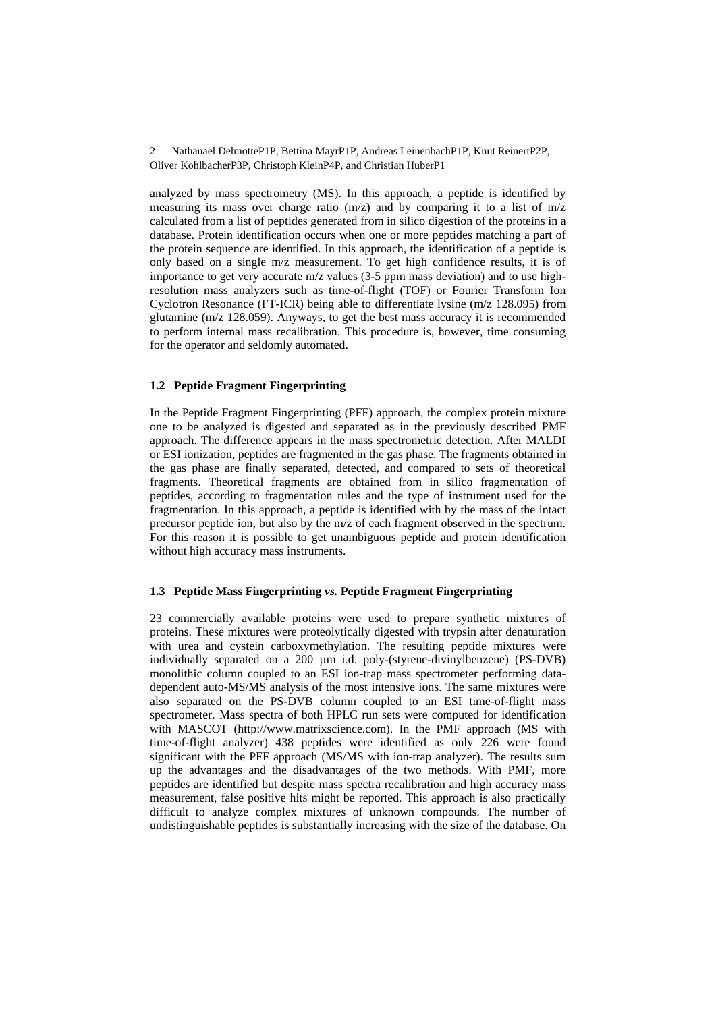2 Nathanaël DelmotteP1P, Bettina MayrP1P, Andreas LeinenbachP1P, Knut ReinertP2P, Oliver KohlbacherP3P, Christoph KleinP4P, and Christian HuberP1

analyzed by mass spectrometry (MS). In this approach, a peptide is identified by measuring its mass over charge ratio  $(m/z)$  and by comparing it to a list of  $m/z$ calculated from a list of peptides generated from in silico digestion of the proteins in a database. Protein identification occurs when one or more peptides matching a part of the protein sequence are identified. In this approach, the identification of a peptide is only based on a single m/z measurement. To get high confidence results, it is of importance to get very accurate m/z values (3-5 ppm mass deviation) and to use highresolution mass analyzers such as time-of-flight (TOF) or Fourier Transform Ion Cyclotron Resonance (FT-ICR) being able to differentiate lysine (m/z 128.095) from glutamine (m/z 128.059). Anyways, to get the best mass accuracy it is recommended to perform internal mass recalibration. This procedure is, however, time consuming for the operator and seldomly automated.

#### **1.2 Peptide Fragment Fingerprinting**

In the Peptide Fragment Fingerprinting (PFF) approach, the complex protein mixture one to be analyzed is digested and separated as in the previously described PMF approach. The difference appears in the mass spectrometric detection. After MALDI or ESI ionization, peptides are fragmented in the gas phase. The fragments obtained in the gas phase are finally separated, detected, and compared to sets of theoretical fragments. Theoretical fragments are obtained from in silico fragmentation of peptides, according to fragmentation rules and the type of instrument used for the fragmentation. In this approach, a peptide is identified with by the mass of the intact precursor peptide ion, but also by the m/z of each fragment observed in the spectrum. For this reason it is possible to get unambiguous peptide and protein identification without high accuracy mass instruments.

#### **1.3 Peptide Mass Fingerprinting** *vs.* **Peptide Fragment Fingerprinting**

23 commercially available proteins were used to prepare synthetic mixtures of proteins. These mixtures were proteolytically digested with trypsin after denaturation with urea and cystein carboxymethylation. The resulting peptide mixtures were individually separated on a 200 µm i.d. poly-(styrene-divinylbenzene) (PS-DVB) monolithic column coupled to an ESI ion-trap mass spectrometer performing datadependent auto-MS/MS analysis of the most intensive ions. The same mixtures were also separated on the PS-DVB column coupled to an ESI time-of-flight mass spectrometer. Mass spectra of both HPLC run sets were computed for identification with MASCOT (http://www.matrixscience.com). In the PMF approach (MS with time-of-flight analyzer) 438 peptides were identified as only 226 were found significant with the PFF approach (MS/MS with ion-trap analyzer). The results sum up the advantages and the disadvantages of the two methods. With PMF, more peptides are identified but despite mass spectra recalibration and high accuracy mass measurement, false positive hits might be reported. This approach is also practically difficult to analyze complex mixtures of unknown compounds. The number of undistinguishable peptides is substantially increasing with the size of the database. On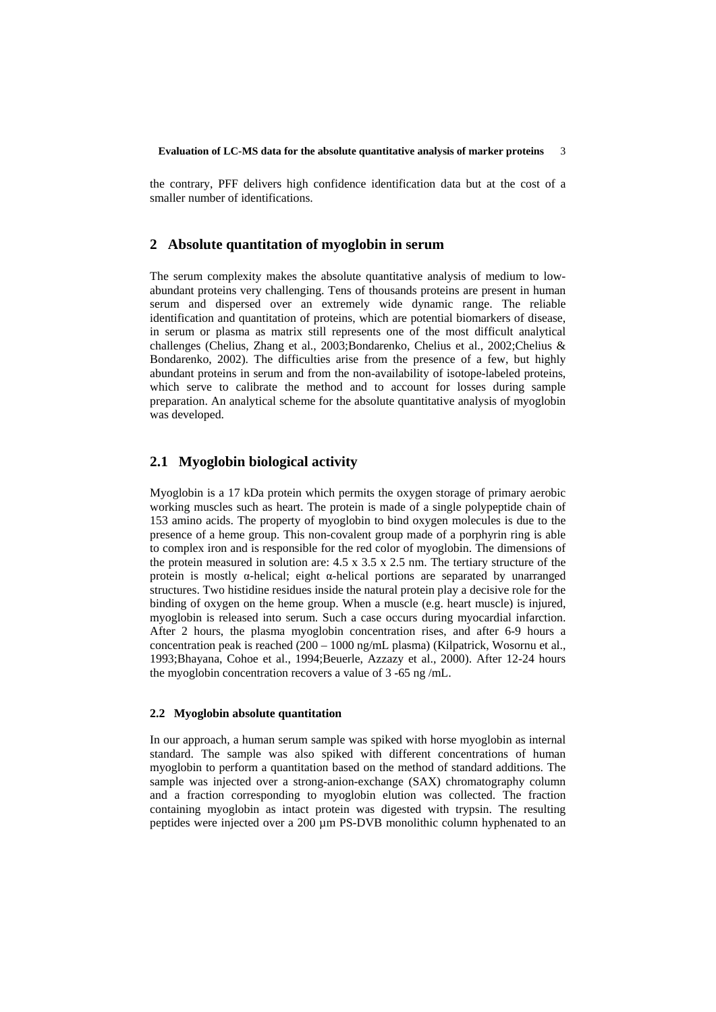the contrary, PFF delivers high confidence identification data but at the cost of a smaller number of identifications.

#### **2 Absolute quantitation of myoglobin in serum**

The serum complexity makes the absolute quantitative analysis of medium to lowabundant proteins very challenging. Tens of thousands proteins are present in human serum and dispersed over an extremely wide dynamic range. The reliable identification and quantitation of proteins, which are potential biomarkers of disease, in serum or plasma as matrix still represents one of the most difficult analytical challenges (Chelius, Zhang et al., 2003;Bondarenko, Chelius et al., 2002;Chelius & Bondarenko, 2002). The difficulties arise from the presence of a few, but highly abundant proteins in serum and from the non-availability of isotope-labeled proteins, which serve to calibrate the method and to account for losses during sample preparation. An analytical scheme for the absolute quantitative analysis of myoglobin was developed.

## **2.1 Myoglobin biological activity**

Myoglobin is a 17 kDa protein which permits the oxygen storage of primary aerobic working muscles such as heart. The protein is made of a single polypeptide chain of 153 amino acids. The property of myoglobin to bind oxygen molecules is due to the presence of a heme group. This non-covalent group made of a porphyrin ring is able to complex iron and is responsible for the red color of myoglobin. The dimensions of the protein measured in solution are:  $4.5 \times 3.5 \times 2.5$  nm. The tertiary structure of the protein is mostly  $\alpha$ -helical; eight  $\alpha$ -helical portions are separated by unarranged structures. Two histidine residues inside the natural protein play a decisive role for the binding of oxygen on the heme group. When a muscle (e.g. heart muscle) is injured, myoglobin is released into serum. Such a case occurs during myocardial infarction. After 2 hours, the plasma myoglobin concentration rises, and after 6-9 hours a concentration peak is reached (200 – 1000 ng/mL plasma) (Kilpatrick, Wosornu et al., 1993;Bhayana, Cohoe et al., 1994;Beuerle, Azzazy et al., 2000). After 12-24 hours the myoglobin concentration recovers a value of 3 -65 ng /mL.

#### **2.2 Myoglobin absolute quantitation**

In our approach, a human serum sample was spiked with horse myoglobin as internal standard. The sample was also spiked with different concentrations of human myoglobin to perform a quantitation based on the method of standard additions. The sample was injected over a strong-anion-exchange (SAX) chromatography column and a fraction corresponding to myoglobin elution was collected. The fraction containing myoglobin as intact protein was digested with trypsin. The resulting peptides were injected over a 200 µm PS-DVB monolithic column hyphenated to an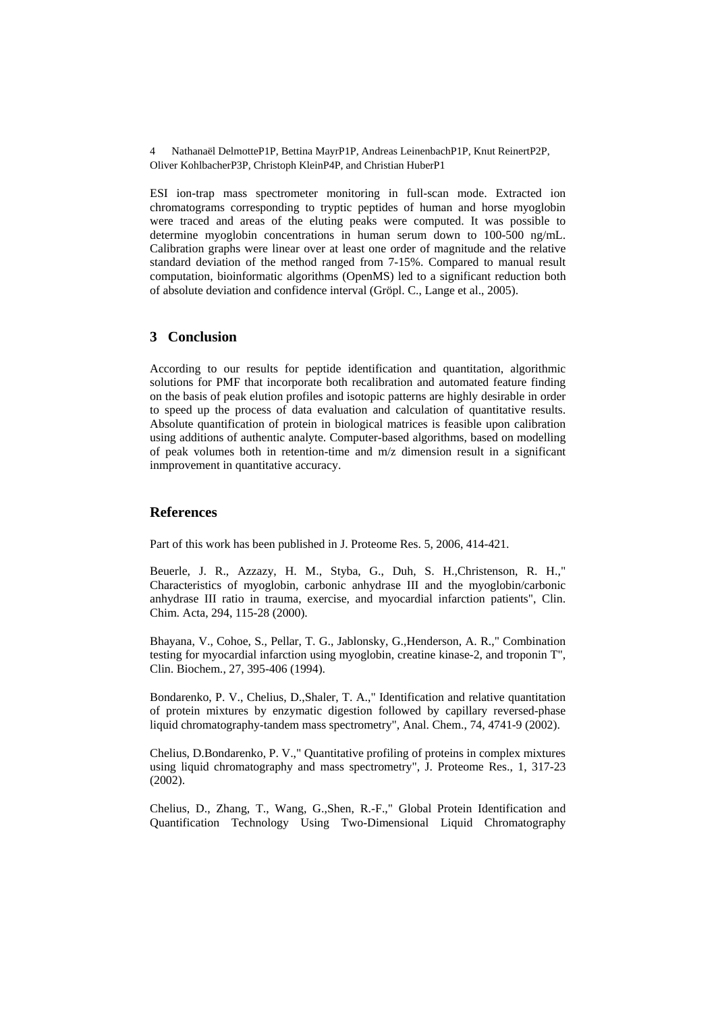4 Nathanaël DelmotteP1P, Bettina MayrP1P, Andreas LeinenbachP1P, Knut ReinertP2P, Oliver KohlbacherP3P, Christoph KleinP4P, and Christian HuberP1

ESI ion-trap mass spectrometer monitoring in full-scan mode. Extracted ion chromatograms corresponding to tryptic peptides of human and horse myoglobin were traced and areas of the eluting peaks were computed. It was possible to determine myoglobin concentrations in human serum down to 100-500 ng/mL. Calibration graphs were linear over at least one order of magnitude and the relative standard deviation of the method ranged from 7-15%. Compared to manual result computation, bioinformatic algorithms (OpenMS) led to a significant reduction both of absolute deviation and confidence interval (Gröpl. C., Lange et al., 2005).

## **3 Conclusion**

According to our results for peptide identification and quantitation, algorithmic solutions for PMF that incorporate both recalibration and automated feature finding on the basis of peak elution profiles and isotopic patterns are highly desirable in order to speed up the process of data evaluation and calculation of quantitative results. Absolute quantification of protein in biological matrices is feasible upon calibration using additions of authentic analyte. Computer-based algorithms, based on modelling of peak volumes both in retention-time and m/z dimension result in a significant inmprovement in quantitative accuracy.

#### **References**

Part of this work has been published in J. Proteome Res. 5, 2006, 414-421.

Beuerle, J. R., Azzazy, H. M., Styba, G., Duh, S. H.,Christenson, R. H.," Characteristics of myoglobin, carbonic anhydrase III and the myoglobin/carbonic anhydrase III ratio in trauma, exercise, and myocardial infarction patients", Clin. Chim. Acta, 294, 115-28 (2000).

Bhayana, V., Cohoe, S., Pellar, T. G., Jablonsky, G.,Henderson, A. R.," Combination testing for myocardial infarction using myoglobin, creatine kinase-2, and troponin T", Clin. Biochem., 27, 395-406 (1994).

Bondarenko, P. V., Chelius, D.,Shaler, T. A.," Identification and relative quantitation of protein mixtures by enzymatic digestion followed by capillary reversed-phase liquid chromatography-tandem mass spectrometry", Anal. Chem., 74, 4741-9 (2002).

Chelius, D.Bondarenko, P. V.," Quantitative profiling of proteins in complex mixtures using liquid chromatography and mass spectrometry", J. Proteome Res., 1, 317-23 (2002).

Chelius, D., Zhang, T., Wang, G.,Shen, R.-F.," Global Protein Identification and Quantification Technology Using Two-Dimensional Liquid Chromatography